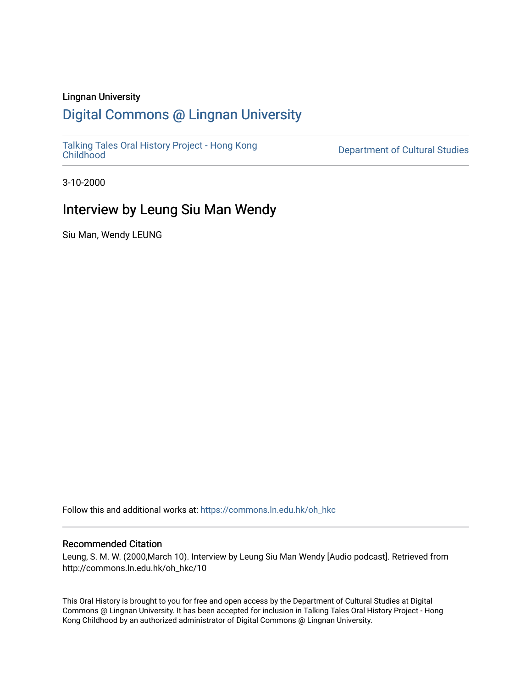#### Lingnan University

## [Digital Commons @ Lingnan University](https://commons.ln.edu.hk/)

[Talking Tales Oral History Project - Hong Kong](https://commons.ln.edu.hk/oh_hkc)

Department of Cultural Studies

3-10-2000

## Interview by Leung Siu Man Wendy

Siu Man, Wendy LEUNG

Follow this and additional works at: [https://commons.ln.edu.hk/oh\\_hkc](https://commons.ln.edu.hk/oh_hkc?utm_source=commons.ln.edu.hk%2Foh_hkc%2F10&utm_medium=PDF&utm_campaign=PDFCoverPages) 

#### Recommended Citation

Leung, S. M. W. (2000,March 10). Interview by Leung Siu Man Wendy [Audio podcast]. Retrieved from http://commons.ln.edu.hk/oh\_hkc/10

This Oral History is brought to you for free and open access by the Department of Cultural Studies at Digital Commons @ Lingnan University. It has been accepted for inclusion in Talking Tales Oral History Project - Hong Kong Childhood by an authorized administrator of Digital Commons @ Lingnan University.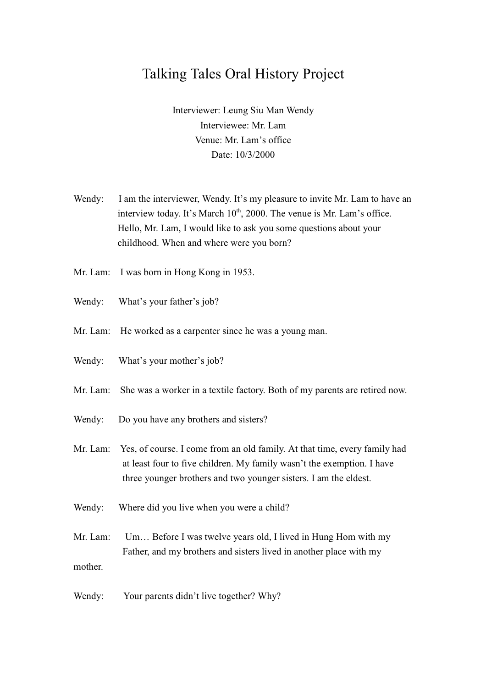# **Talking Tales Oral History Project**

Interviewer: Leung Siu Man Wendy Interviewee: Mr. Lam Venue: Mr. Lam's office Date: 10/3/2000

- Wendy: I am the interviewer, Wendy. It's my pleasure to invite Mr. Lam to have an interview today. It's March 10<sup>th</sup>, 2000. The venue is Mr. Lam's office. Hello, Mr. Lam, I would like to ask you some questions about your childhood. When and where were you born?
- Mr. Lam: I was born in Hong Kong in 1953.
- What's your father's job? Wendy:
- Mr. Lam: He worked as a carpenter since he was a young man.
- Wendy: What's your mother's job?
- She was a worker in a textile factory. Both of my parents are retired now.  $Mr$  Lam
- Wendy: Do you have any brothers and sisters?
- Mr. Lam: Yes, of course. I come from an old family. At that time, every family had at least four to five children. My family wasn't the exemption. I have three younger brothers and two younger sisters. I am the eldest.
- Where did you live when you were a child? Wendy:

Mr Lam<sup>.</sup> Um... Before I was twelve years old, I lived in Hung Hom with my Father, and my brothers and sisters lived in another place with my mother.

Wendy: Your parents didn't live together? Why?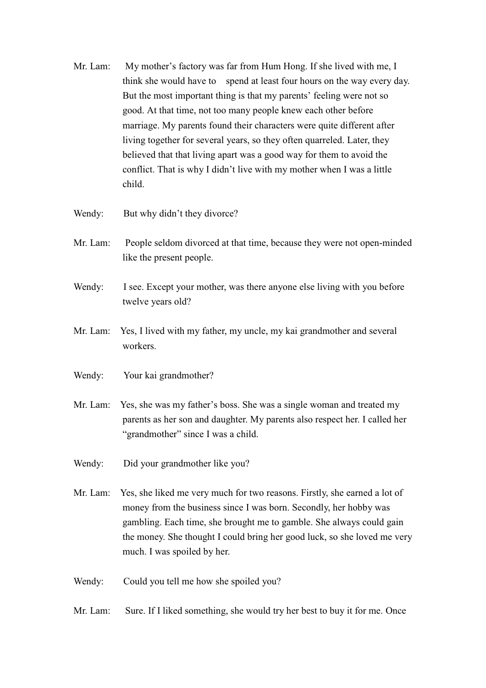- Mr. Lam: My mother's factory was far from Hum Hong. If she lived with me, I think she would have to spend at least four hours on the way every day. But the most important thing is that my parents' feeling were not so good. At that time, not too many people knew each other before marriage. My parents found their characters were quite different after living together for several years, so they often quarreled. Later, they believed that that living apart was a good way for them to avoid the conflict. That is why I didn't live with my mother when I was a little child.
- Wendy: But why didn't they divorce?
- Mr. Lam: People seldom divorced at that time, because they were not open-minded like the present people.
- Wendy: I see. Except your mother, was there anyone else living with you before twelve years old?
- Mr. Lam: Yes, I lived with my father, my uncle, my kai grandmother and several workers
- Your kai grandmother? Wendy:
- Yes, she was my father's boss. She was a single woman and treated my Mr. Lam: parents as her son and daughter. My parents also respect her. I called her "grandmother" since I was a child.
- Wendy: Did your grandmother like you?
- Mr. Lam: Yes, she liked me very much for two reasons. Firstly, she earned a lot of money from the business since I was born. Secondly, her hobby was gambling. Each time, she brought me to gamble. She always could gain the money. She thought I could bring her good luck, so she loved me very much. I was spoiled by her.
- Wendy: Could you tell me how she spoiled you?
- Mr Lam<sup>.</sup> Sure. If I liked something, she would try her best to buy it for me. Once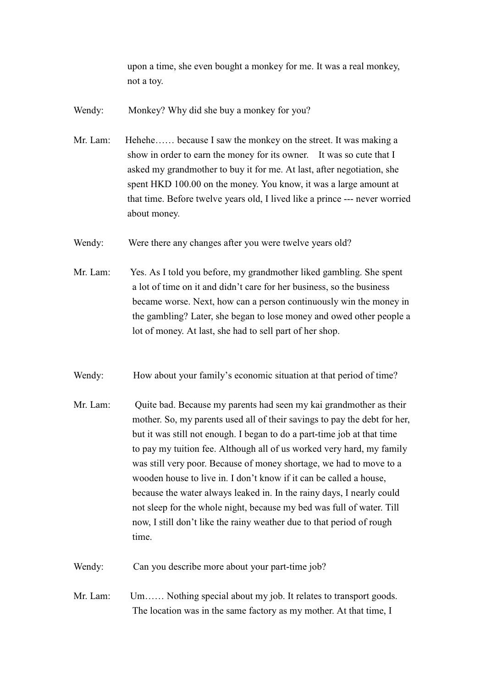upon a time, she even bought a monkey for me. It was a real monkey, not a toy.

Monkey? Why did she buy a monkey for you? Wendy:

Mr. Lam: Hehehe...... because I saw the monkey on the street. It was making a show in order to earn the money for its owner. It was so cute that I asked my grandmother to buy it for me. At last, after negotiation, she spent HKD 100.00 on the money. You know, it was a large amount at that time. Before twelve years old, I lived like a prince --- never worried about money.

Were there any changes after you were twelve years old? Wendy:

- Mr. Lam: Yes. As I told you before, my grandmother liked gambling. She spent a lot of time on it and didn't care for her business, so the business became worse. Next, how can a person continuously win the money in the gambling? Later, she began to lose money and owed other people a lot of money. At last, she had to sell part of her shop.
- Wendy: How about your family's economic situation at that period of time?
- Mr Lam<sup>.</sup> Quite bad. Because my parents had seen my kai grandmother as their mother. So, my parents used all of their savings to pay the debt for her, but it was still not enough. I began to do a part-time job at that time to pay my tuition fee. Although all of us worked very hard, my family was still very poor. Because of money shortage, we had to move to a wooden house to live in. I don't know if it can be called a house. because the water always leaked in. In the rainy days, I nearly could not sleep for the whole night, because my bed was full of water. Till now, I still don't like the rainy weather due to that period of rough time

Wendy: Can you describe more about your part-time job?

Mr Lam<sup>.</sup> Um...... Nothing special about my job. It relates to transport goods. The location was in the same factory as my mother. At that time, I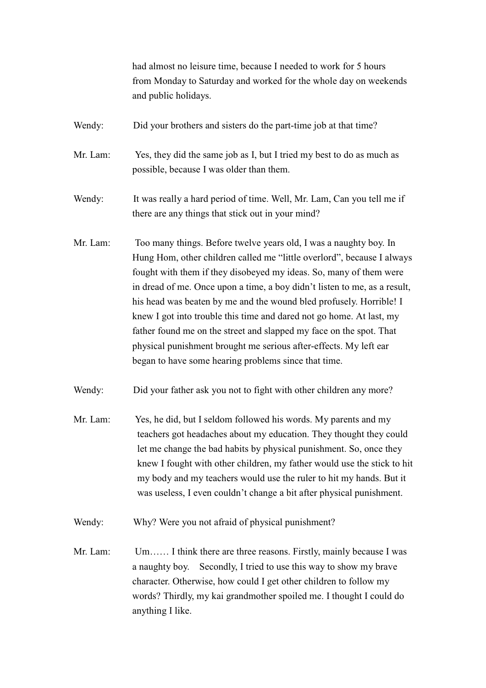had almost no leisure time, because I needed to work for 5 hours from Monday to Saturday and worked for the whole day on weekends and public holidays.

- Wendy: Did your brothers and sisters do the part-time job at that time?
- Mr. Lam: Yes, they did the same job as I, but I tried my best to do as much as possible, because I was older than them.
- Wendy: It was really a hard period of time. Well, Mr. Lam, Can you tell me if there are any things that stick out in your mind?
- Mr. Lam: Too many things. Before twelve years old, I was a naughty boy. In Hung Hom, other children called me "little overlord", because I always fought with them if they disobeyed my ideas. So, many of them were in dread of me. Once upon a time, a boy didn't listen to me, as a result, his head was beaten by me and the wound bled profusely. Horrible! I knew I got into trouble this time and dared not go home. At last, my father found me on the street and slapped my face on the spot. That physical punishment brought me serious after-effects. My left ear began to have some hearing problems since that time.
- Wendy: Did your father ask you not to fight with other children any more?
- Mr Lam<sup>.</sup> Yes, he did, but I seldom followed his words. My parents and my teachers got headaches about my education. They thought they could let me change the bad habits by physical punishment. So, once they knew I fought with other children, my father would use the stick to hit my body and my teachers would use the ruler to hit my hands. But it was useless, I even couldn't change a bit after physical punishment.
- Wendy: Why? Were you not afraid of physical punishment?
- Mr. Lam: Um...... I think there are three reasons. Firstly, mainly because I was a naughty boy. Secondly, I tried to use this way to show my brave character. Otherwise, how could I get other children to follow my words? Thirdly, my kai grandmother spoiled me. I thought I could do anything I like.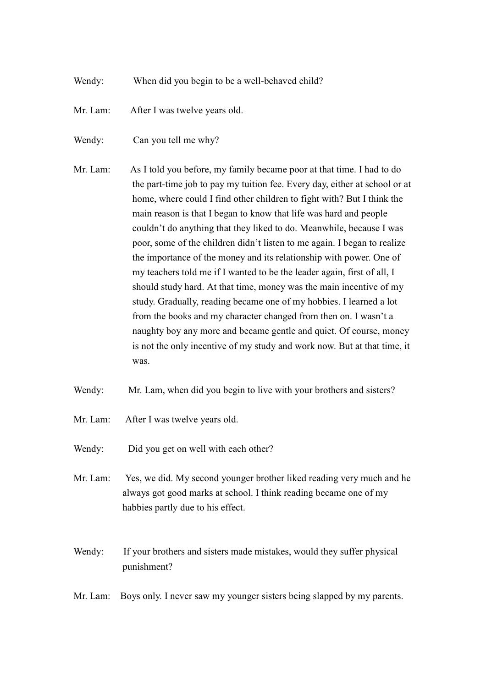- Wendy: When did you begin to be a well-behaved child?
- Mr. Lam: After I was twelve years old.
- Can you tell me why? Wendy:
- Mr. Lam: As I told you before, my family became poor at that time. I had to do the part-time job to pay my tuition fee. Every day, either at school or at home, where could I find other children to fight with? But I think the main reason is that I began to know that life was hard and people couldn't do anything that they liked to do. Meanwhile, because I was poor, some of the children didn't listen to me again. I began to realize the importance of the money and its relationship with power. One of my teachers told me if I wanted to be the leader again, first of all, I should study hard. At that time, money was the main incentive of my study. Gradually, reading became one of my hobbies. I learned a lot from the books and my character changed from then on. I wasn't a naughty boy any more and became gentle and quiet. Of course, money is not the only incentive of my study and work now. But at that time, it was.
- Wendy: Mr. Lam, when did you begin to live with your brothers and sisters?
- Mr. Lam: After I was twelve years old.
- Wendy: Did you get on well with each other?
- Mr. Lam: Yes, we did. My second younger brother liked reading very much and he always got good marks at school. I think reading became one of my habbies partly due to his effect.
- Wendy: If your brothers and sisters made mistakes, would they suffer physical punishment?
- Boys only. I never saw my younger sisters being slapped by my parents. Mr. Lam: